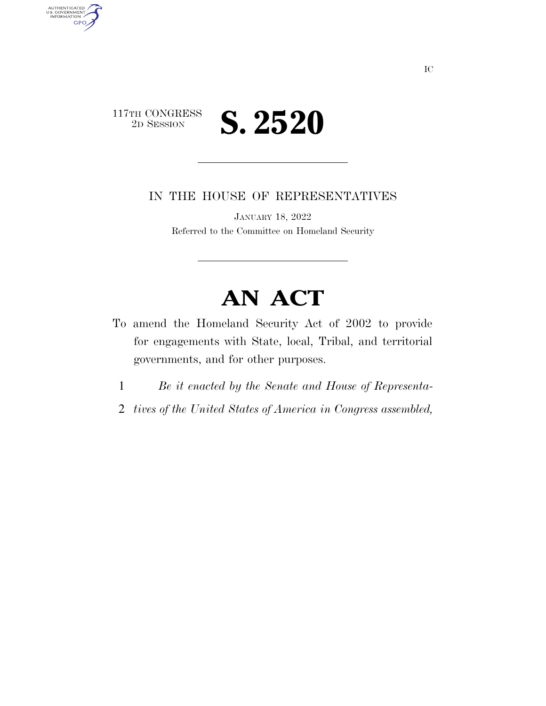

AUTHENTICATED<br>U.S. GOVERNMENT<br>INFORMATION

**GPO** 

IN THE HOUSE OF REPRESENTATIVES

JANUARY 18, 2022 Referred to the Committee on Homeland Security

## **AN ACT**

- To amend the Homeland Security Act of 2002 to provide for engagements with State, local, Tribal, and territorial governments, and for other purposes.
	- 1 *Be it enacted by the Senate and House of Representa-*
	- 2 *tives of the United States of America in Congress assembled,*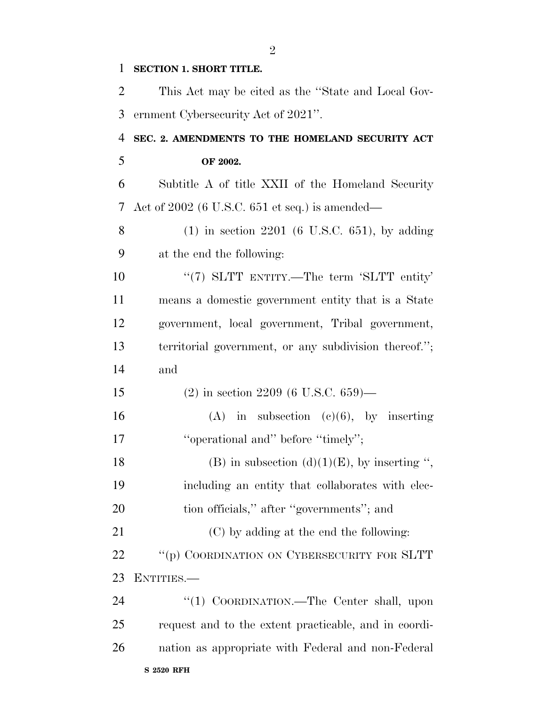| $\mathbf 1$ | <b>SECTION 1. SHORT TITLE.</b>                        |
|-------------|-------------------------------------------------------|
| 2           | This Act may be cited as the "State and Local Gov-    |
| 3           | ernment Cybersecurity Act of 2021".                   |
| 4           | SEC. 2. AMENDMENTS TO THE HOMELAND SECURITY ACT       |
| 5           | OF 2002.                                              |
| 6           | Subtitle A of title XXII of the Homeland Security     |
| 7           | Act of $2002$ (6 U.S.C. 651 et seq.) is amended—      |
| 8           | $(1)$ in section 2201 (6 U.S.C. 651), by adding       |
| 9           | at the end the following:                             |
| 10          | " $(7)$ SLTT ENTITY.—The term 'SLTT entity'           |
| 11          | means a domestic government entity that is a State    |
| 12          | government, local government, Tribal government,      |
| 13          | territorial government, or any subdivision thereof."; |
| 14          | and                                                   |
| 15          | $(2)$ in section 2209 (6 U.S.C. 659)—                 |
| 16          | $(A)$ in subsection $(e)(6)$ , by inserting           |
| 17          | "operational and" before "timely";                    |
| 18          | (B) in subsection (d)(1)(E), by inserting ",          |
| 19          | including an entity that collaborates with elec-      |
| 20          | tion officials," after "governments"; and             |
| 21          | (C) by adding at the end the following:               |
| 22          | "(p) COORDINATION ON CYBERSECURITY FOR SLTT           |
| 23          | ENTITIES.                                             |
| 24          | "(1) COORDINATION.—The Center shall, upon             |
| 25          | request and to the extent practicable, and in coordi- |
| 26          | nation as appropriate with Federal and non-Federal    |
|             |                                                       |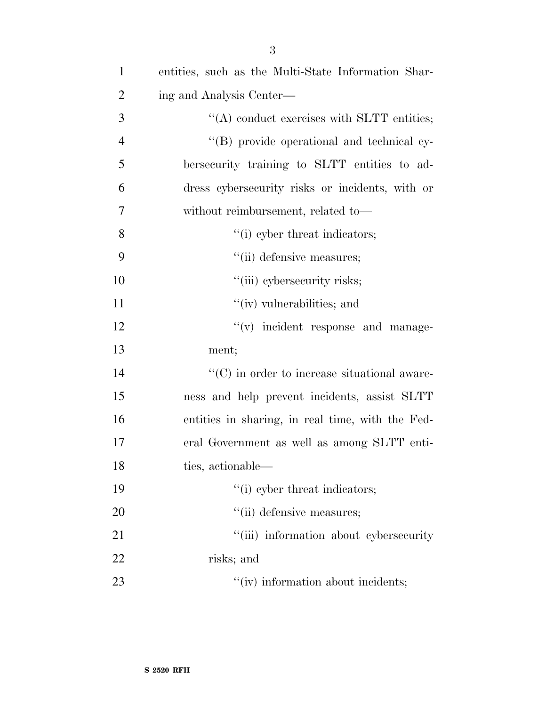| $\mathbf{1}$   | entities, such as the Multi-State Information Shar-  |
|----------------|------------------------------------------------------|
| $\overline{2}$ | ing and Analysis Center—                             |
| 3              | $\lq\lq$ conduct exercises with SLTT entities;       |
| $\overline{4}$ | "(B) provide operational and technical cy-           |
| 5              | bersecurity training to SLTT entities to ad-         |
| 6              | dress cybersecurity risks or incidents, with or      |
| 7              | without reimbursement, related to-                   |
| 8              | "(i) cyber threat indicators;                        |
| 9              | "(ii) defensive measures;                            |
| 10             | "(iii) cybersecurity risks;                          |
| 11             | "(iv) vulnerabilities; and                           |
| 12             | "(v) incident response and manage-                   |
| 13             | ment;                                                |
| 14             | $\lq\lq$ (C) in order to increase situational aware- |
| 15             | ness and help prevent incidents, assist SLTT         |
| 16             | entities in sharing, in real time, with the Fed-     |
| 17             | eral Government as well as among SLTT enti-          |
| 18             | ties, actionable—                                    |
| 19             | "(i) cyber threat indicators;                        |
| 20             | "(ii) defensive measures;                            |
| 21             | "(iii) information about cybersecurity               |
| 22             | risks; and                                           |
| 23             | "(iv) information about incidents;                   |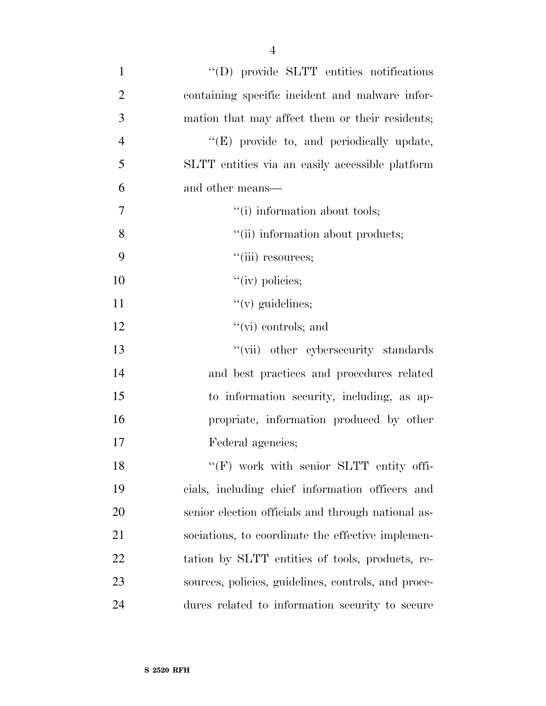| $\mathbf{1}$   | "(D) provide SLTT entities notifications            |
|----------------|-----------------------------------------------------|
| $\overline{2}$ | containing specific incident and malware infor-     |
| 3              | mation that may affect them or their residents;     |
| $\overline{4}$ | "(E) provide to, and periodically update,           |
| 5              | SLTT entities via an easily accessible platform     |
| 6              | and other means—                                    |
| 7              | "(i) information about tools;                       |
| 8              | "(ii) information about products;                   |
| 9              | $"$ (iii) resources;                                |
| 10             | $\lq\lq$ (iv) policies;                             |
| 11             | $\lq\lq$ (v) guidelines;                            |
| 12             | $\lq\lq$ (vi) controls; and                         |
| 13             | "(vii) other cybersecurity standards                |
| 14             | and best practices and procedures related           |
| 15             | to information security, including, as ap-          |
| 16             | propriate, information produced by other            |
| 17             | Federal agencies;                                   |
| 18             | "(F) work with senior SLTT entity offi-             |
| 19             | cials, including chief information officers and     |
| 20             | senior election officials and through national as-  |
| 21             | sociations, to coordinate the effective implemen-   |
| 22             | tation by SLTT entities of tools, products, re-     |
| 23             | sources, policies, guidelines, controls, and proce- |
| 24             | dures related to information security to secure     |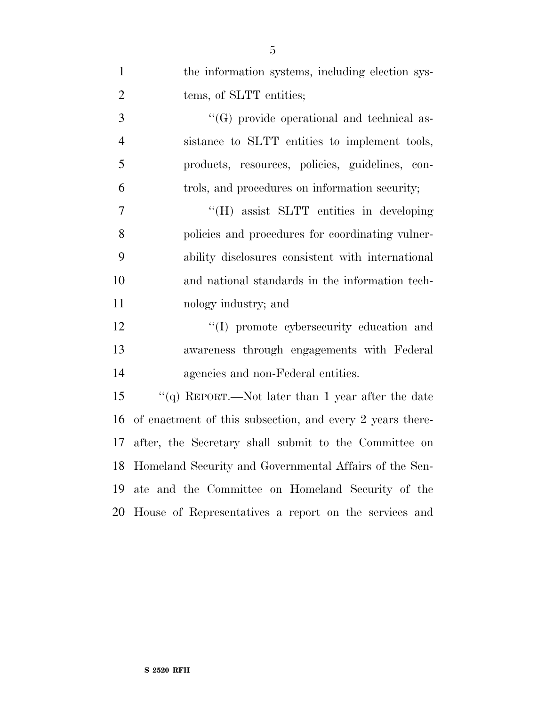| $\mathbf{1}$   | the information systems, including election sys-          |
|----------------|-----------------------------------------------------------|
| $\overline{2}$ | tems, of SLTT entities;                                   |
| 3              | "(G) provide operational and technical as-                |
| $\overline{4}$ | sistance to SLTT entities to implement tools,             |
| 5              | products, resources, policies, guidelines, con-           |
| 6              | trols, and procedures on information security;            |
| 7              | "(H) assist SLTT entities in developing                   |
| 8              | policies and procedures for coordinating vulner-          |
| 9              | ability disclosures consistent with international         |
| 10             | and national standards in the information tech-           |
| 11             | nology industry; and                                      |
| 12             | "(I) promote cybersecurity education and                  |
| 13             | awareness through engagements with Federal                |
| 14             | agencies and non-Federal entities.                        |
| 15             | "(q) REPORT.—Not later than 1 year after the date         |
| 16             | of enactment of this subsection, and every 2 years there- |
| 17             | after, the Secretary shall submit to the Committee on     |
| 18             | Homeland Security and Governmental Affairs of the Sen-    |
| 19             | ate and the Committee on Homeland Security of the         |
| 20             | House of Representatives a report on the services and     |